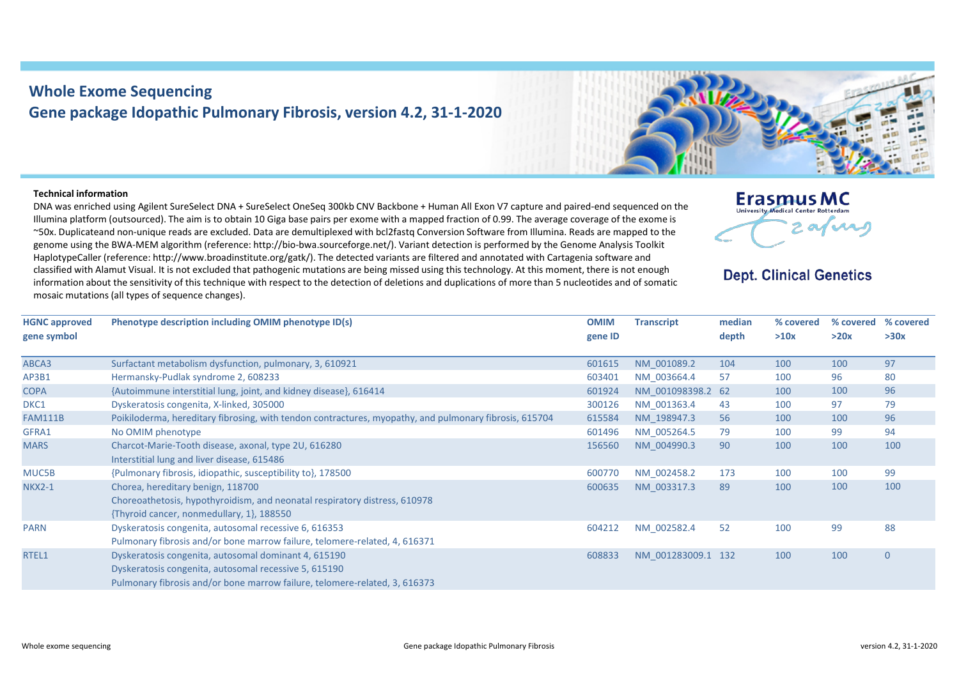## **Whole Exome Sequencing Gene package Idopathic Pulmonary Fibrosis, version 4.2, 31-1-2020**

## **Technical information**

**HGNC approved** 

DNA was enriched using Agilent SureSelect DNA + SureSelect OneSeq 300kb CNV Backbone + Human All Exon V7 capture and paired-end sequenced on the Illumina platform (outsourced). The aim is to obtain 10 Giga base pairs per exome with a mapped fraction of 0.99. The average coverage of the exome is ~50x. Duplicateand non-unique reads are excluded. Data are demultiplexed with bcl2fastq Conversion Software from Illumina. Reads are mapped to the genome using the BWA-MEM algorithm (reference: http://bio-bwa.sourceforge.net/). Variant detection is performed by the Genome Analysis Toolkit HaplotypeCaller (reference: http://www.broadinstitute.org/gatk/). The detected variants are filtered and annotated with Cartagenia software and classified with Alamut Visual. It is not excluded that pathogenic mutations are being missed using this technology. At this moment, there is not enough information about the sensitivity of this technique with respect to the detection of deletions and duplications of more than 5 nucleotides and of somatic mosaic mutations (all types of sequence changes).

| Phenotype description including OMIM phenotype ID(s)              | <b>OMIM</b><br>gene ID | <b>Transcript</b> | median<br>depth |
|-------------------------------------------------------------------|------------------------|-------------------|-----------------|
| Surfactant metabolism dysfunction, pulmonary, 3, 610921           | 601615                 | NM 001089.2       | 104             |
| Hermansky-Pudlak syndrome 2, 608233                               | 603401                 | NM 003664.4       | 57              |
| {Autoimmune interstitial lung, joint, and kidney disease}, 616414 | 601924                 | NM 001098398.2 62 |                 |
| Duckeratoric congenita X-linked 305000                            | 300126                 | $NNA$ 001363 $A$  | $\overline{A}$  |

## **Erasmus MC University Medical Center Potter** afing

## **Dept. Clinical Genetics**

**% covered % covered % covered** 

| gene symbol    |                                                                                                        | gene ID |                    | depth | >10x | >20x | >30x           |
|----------------|--------------------------------------------------------------------------------------------------------|---------|--------------------|-------|------|------|----------------|
| ABCA3          | Surfactant metabolism dysfunction, pulmonary, 3, 610921                                                | 601615  | NM 001089.2        | 104   | 100  | 100  | 97             |
| AP3B1          | Hermansky-Pudlak syndrome 2, 608233                                                                    | 603401  | NM 003664.4        | 57    | 100  | 96   | 80             |
| <b>COPA</b>    | {Autoimmune interstitial lung, joint, and kidney disease}, 616414                                      | 601924  | NM 001098398.2 62  |       | 100  | 100  | 96             |
| DKC1           | Dyskeratosis congenita, X-linked, 305000                                                               | 300126  | NM 001363.4        | 43    | 100  | 97   | 79             |
| <b>FAM111B</b> | Poikiloderma, hereditary fibrosing, with tendon contractures, myopathy, and pulmonary fibrosis, 615704 | 615584  | NM 198947.3        | 56    | 100  | 100  | 96             |
| GFRA1          | No OMIM phenotype                                                                                      | 601496  | NM 005264.5        | 79    | 100  | 99   | 94             |
| <b>MARS</b>    | Charcot-Marie-Tooth disease, axonal, type 2U, 616280                                                   | 156560  | NM 004990.3        | 90    | 100  | 100  | 100            |
|                | Interstitial lung and liver disease, 615486                                                            |         |                    |       |      |      |                |
| MUC5B          | {Pulmonary fibrosis, idiopathic, susceptibility to}, 178500                                            | 600770  | NM 002458.2        | 173   | 100  | 100  | 99             |
| <b>NKX2-1</b>  | Chorea, hereditary benign, 118700                                                                      | 600635  | NM 003317.3        | 89    | 100  | 100  | 100            |
|                | Choreoathetosis, hypothyroidism, and neonatal respiratory distress, 610978                             |         |                    |       |      |      |                |
|                | {Thyroid cancer, nonmedullary, 1}, 188550                                                              |         |                    |       |      |      |                |
| <b>PARN</b>    | Dyskeratosis congenita, autosomal recessive 6, 616353                                                  | 604212  | NM 002582.4        | 52    | 100  | 99   | 88             |
|                | Pulmonary fibrosis and/or bone marrow failure, telomere-related, 4, 616371                             |         |                    |       |      |      |                |
| RTEL1          | Dyskeratosis congenita, autosomal dominant 4, 615190                                                   | 608833  | NM 001283009.1 132 |       | 100  | 100  | $\overline{0}$ |
|                | Dyskeratosis congenita, autosomal recessive 5, 615190                                                  |         |                    |       |      |      |                |
|                | Pulmonary fibrosis and/or bone marrow failure, telomere-related, 3, 616373                             |         |                    |       |      |      |                |
|                |                                                                                                        |         |                    |       |      |      |                |